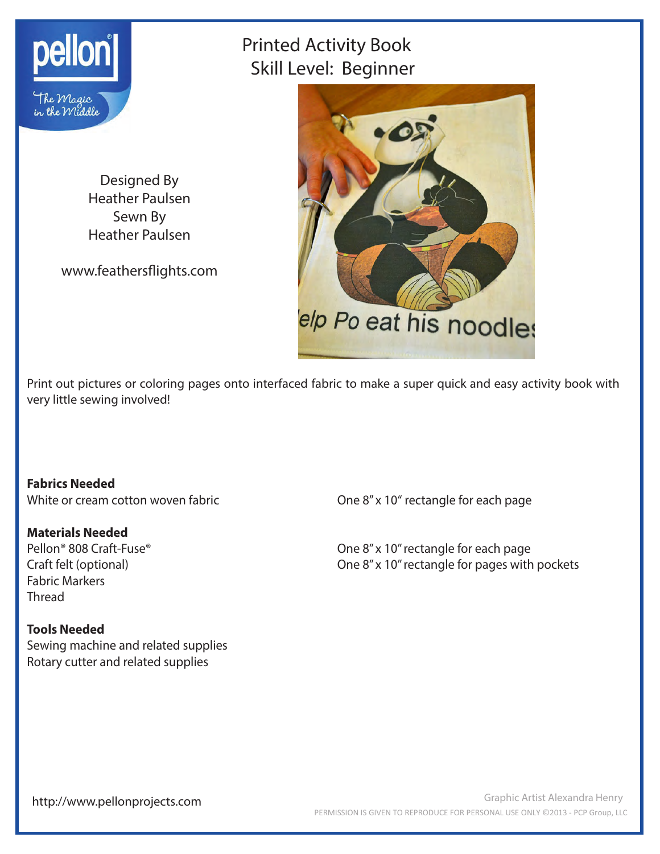

# Printed Activity Book Skill Level: Beginner

Designed By Heather Paulsen Sewn By Heather Paulsen

www.feathersflights.com



Print out pictures or coloring pages onto interfaced fabric to make a super quick and easy activity book with very little sewing involved!

**Fabrics Needed**

### **Materials Needed**

Fabric Markers Thread

#### **Tools Needed**

Sewing machine and related supplies Rotary cutter and related supplies

White or cream cotton woven fabric **Configuration** One 8" x 10" rectangle for each page

Pellon<sup>®</sup> 808 Craft-Fuse<sup>®</sup> 2008 Craft-Fuse<sup>®</sup> 2008 Craft-Fuse <sup>®</sup> 2008 Craft-Fuse <sup>®</sup> 2018 Cne 8" x 10" rectangle for each page Craft felt (optional) One 8" x 10" rectangle for pages with pockets

http://www.pellonprojects.com

Graphic Artist Alexandra Henry PERMISSION IS GIVEN TO REPRODUCE FOR PERSONAL USE ONLY ©2013 - PCP Group, LLC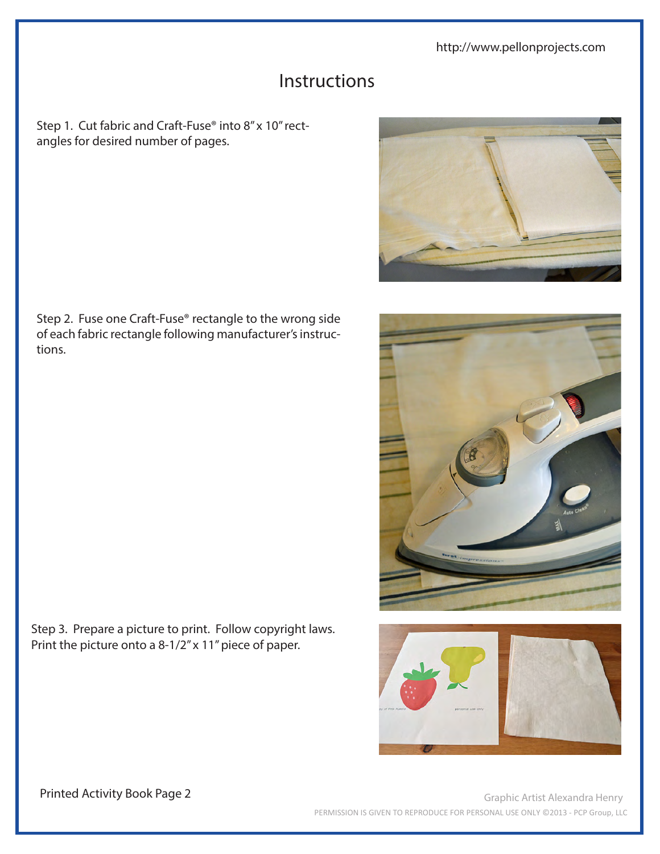http://www.pellonprojects.com

## Instructions

Step 1. Cut fabric and Craft-Fuse® into 8" x 10" rectangles for desired number of pages.





Step 2. Fuse one Craft-Fuse® rectangle to the wrong side of each fabric rectangle following manufacturer's instructions.

Step 3. Prepare a picture to print. Follow copyright laws. Print the picture onto a 8-1/2" x 11" piece of paper.

Printed Activity Book Page 2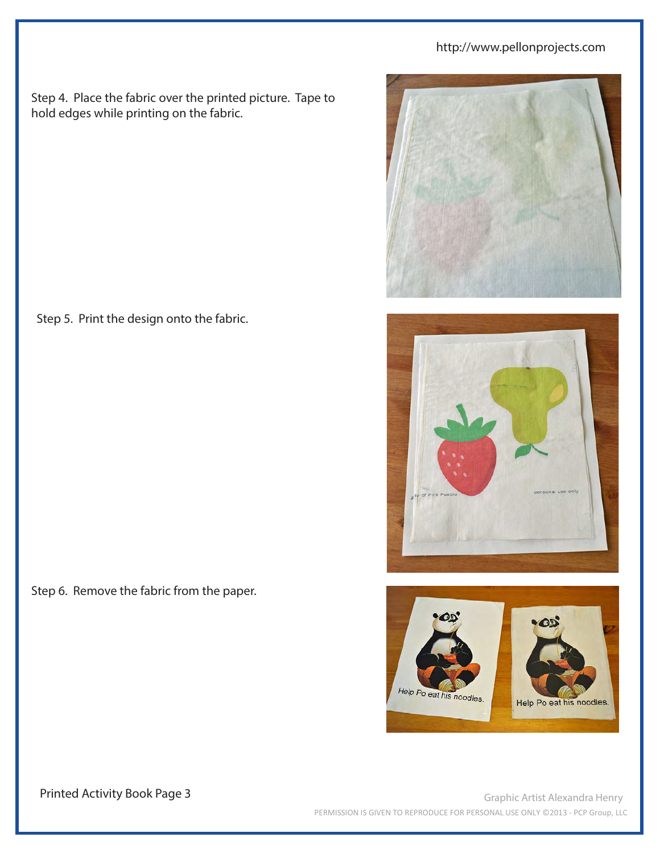## http://www.pellonprojects.com

Step 4. Place the fabric over the printed picture. Tape to hold edges while printing on the fabric.

Step 5. Print the design onto the fabric.

Step 6. Remove the fabric from the paper.









Printed Activity Book Page 3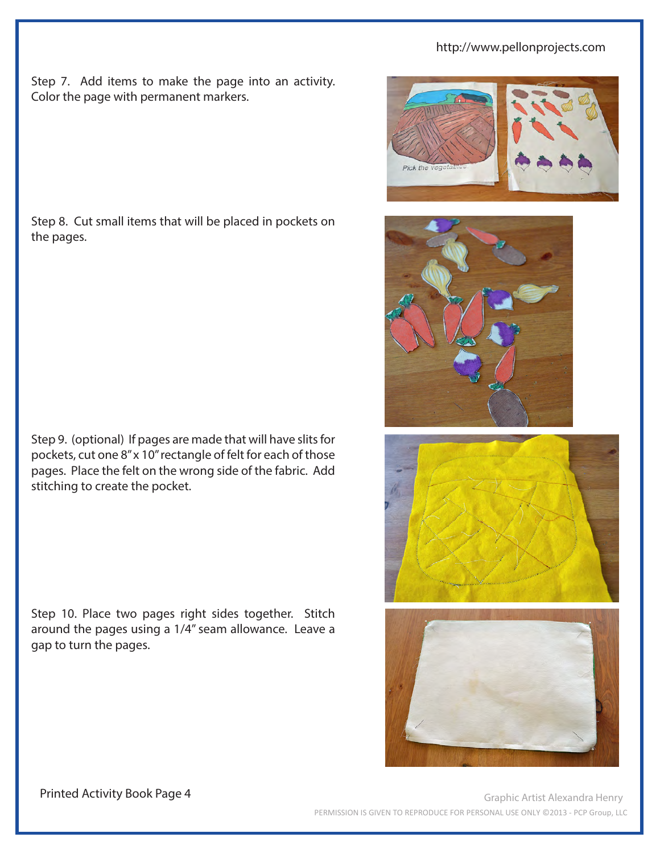### http://www.pellonprojects.com

Step 7. Add items to make the page into an activity. Color the page with permanent markers.

Step 8. Cut small items that will be placed in pockets on the pages.

Step 9. (optional) If pages are made that will have slits for pockets, cut one 8" x 10" rectangle of felt for each of those pages. Place the felt on the wrong side of the fabric. Add stitching to create the pocket.

Step 10. Place two pages right sides together. Stitch around the pages using a 1/4" seam allowance. Leave a gap to turn the pages.